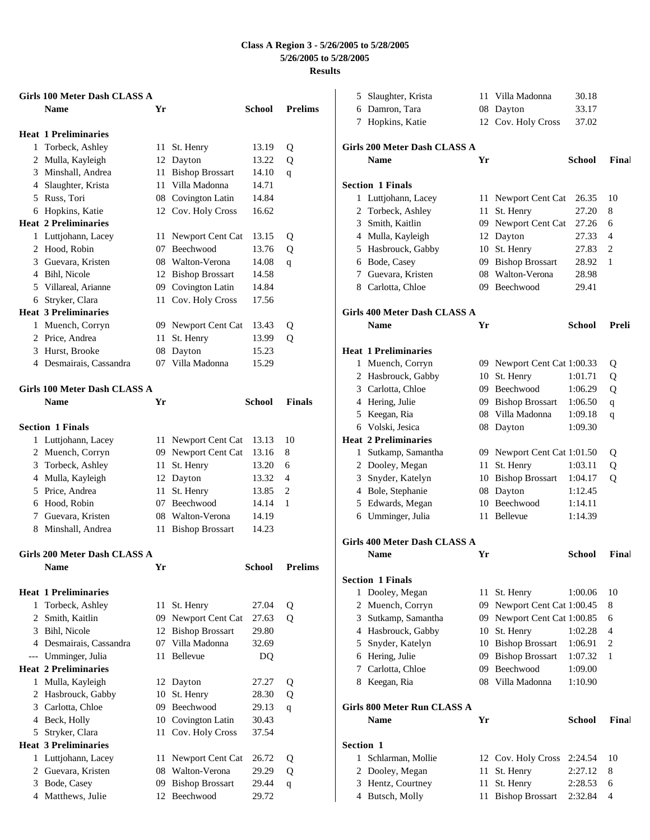|       | Girls 100 Meter Dash CLASS A<br><b>Name</b> | Yr |                        | <b>School</b> | <b>Prelims</b> |
|-------|---------------------------------------------|----|------------------------|---------------|----------------|
|       |                                             |    |                        |               |                |
|       | <b>Heat 1 Preliminaries</b>                 |    |                        |               |                |
| 1     | Torbeck, Ashley                             | 11 | St. Henry              | 13.19         | Q              |
|       | 2 Mulla, Kayleigh                           | 12 | Dayton                 | 13.22         | Q              |
|       | 3 Minshall, Andrea                          | 11 | <b>Bishop Brossart</b> | 14.10         | q              |
|       | 4 Slaughter, Krista                         | 11 | Villa Madonna          | 14.71         |                |
|       | 5 Russ, Tori                                | 08 | Covington Latin        | 14.84         |                |
|       | 6 Hopkins, Katie                            |    | 12 Cov. Holy Cross     | 16.62         |                |
|       | <b>Heat 2 Preliminaries</b>                 |    |                        |               |                |
|       | 1 Luttjohann, Lacey                         | 11 | Newport Cent Cat       | 13.15         | Q              |
|       | 2 Hood, Robin                               | 07 | Beechwood              | 13.76         | Q              |
|       | 3 Guevara, Kristen                          |    | 08 Walton-Verona       | 14.08         | q              |
|       | 4 Bihl, Nicole                              |    | 12 Bishop Brossart     | 14.58         |                |
|       | 5 Villareal, Arianne                        | 09 | Covington Latin        | 14.84         |                |
|       | 6 Stryker, Clara                            | 11 | Cov. Holy Cross        | 17.56         |                |
|       | <b>Heat 3 Preliminaries</b>                 |    |                        |               |                |
| 1     | Muench, Corryn                              |    | 09 Newport Cent Cat    | 13.43         | Q              |
|       | 2 Price, Andrea                             | 11 | St. Henry              | 13.99         | Q              |
|       | 3 Hurst, Brooke                             | 08 | Dayton                 | 15.23         |                |
|       | 4 Desmairais, Cassandra                     | 07 | Villa Madonna          | 15.29         |                |
|       | Girls 100 Meter Dash CLASS A                |    |                        |               |                |
|       | <b>Name</b>                                 | Yr |                        | <b>School</b> | <b>Finals</b>  |
|       | <b>Section 1 Finals</b>                     |    |                        |               |                |
| 1     | Luttjohann, Lacey                           | 11 | Newport Cent Cat       | 13.13         | 10             |
|       | 2 Muench, Corryn                            | 09 | Newport Cent Cat       | 13.16         | 8              |
|       | 3 Torbeck, Ashley                           | 11 | St. Henry              | 13.20         | 6              |
|       | 4 Mulla, Kayleigh                           | 12 | Dayton                 | 13.32         | 4              |
|       | 5 Price, Andrea                             | 11 | St. Henry              | 13.85         | 2              |
|       | 6 Hood, Robin                               | 07 | Beechwood              | 14.14         | 1              |
|       | 7 Guevara, Kristen                          | 08 | Walton-Verona          | 14.19         |                |
|       | 8 Minshall, Andrea                          | 11 | <b>Bishop Brossart</b> | 14.23         |                |
|       | <b>Girls 200 Meter Dash CLASS A</b>         |    |                        |               |                |
|       | <b>Name</b>                                 | Yr |                        | <b>School</b> | <b>Prelims</b> |
|       | <b>Heat 1 Preliminaries</b>                 |    |                        |               |                |
| 1     | Torbeck, Ashley                             | 11 | St. Henry              | 27.04         | Q              |
| 2     | Smith, Kaitlin                              | 09 | Newport Cent Cat       | 27.63         | Q              |
|       | 3 Bihl, Nicole                              | 12 | <b>Bishop Brossart</b> | 29.80         |                |
|       | 4 Desmairais, Cassandra                     | 07 | Villa Madonna          | 32.69         |                |
| $---$ | Umminger, Julia                             | 11 | Bellevue               | DQ            |                |
|       | <b>Heat 2 Preliminaries</b>                 |    |                        |               |                |
| 1     | Mulla, Kayleigh                             | 12 | Dayton                 | 27.27         | Q              |
| 2     | Hasbrouck, Gabby                            | 10 | St. Henry              | 28.30         | Q              |
|       | 3 Carlotta, Chloe                           | 09 | Beechwood              | 29.13         | q              |
|       | 4 Beck, Holly                               | 10 | Covington Latin        | 30.43         |                |
| 5     | Stryker, Clara                              | 11 | Cov. Holy Cross        | 37.54         |                |
|       | <b>Heat 3 Preliminaries</b>                 |    |                        |               |                |
| 1     | Luttjohann, Lacey                           | 11 | Newport Cent Cat       | 26.72         | Q              |
| 2     | Guevara, Kristen                            | 08 | Walton-Verona          | 29.29         | Q              |
|       | 3 Bode, Casey                               | 09 | <b>Bishop Brossart</b> | 29.44         | $\mathbf q$    |
|       | 4 Matthews, Julie                           | 12 | Beechwood              | 29.72         |                |

|              | 5 Slaughter, Krista                 | 11  | Villa Madonna                      | 30.18         |       |
|--------------|-------------------------------------|-----|------------------------------------|---------------|-------|
|              | 6 Damron, Tara                      |     | 08 Dayton                          | 33.17         |       |
|              | 7 Hopkins, Katie                    |     | 12 Cov. Holy Cross                 | 37.02         |       |
|              |                                     |     |                                    |               |       |
|              | Girls 200 Meter Dash CLASS A        |     |                                    |               |       |
|              | <b>Name</b>                         | Yr  |                                    | School        | Final |
|              |                                     |     |                                    |               |       |
|              | <b>Section 1 Finals</b>             |     |                                    |               |       |
|              | 1 Luttjohann, Lacey                 |     | 11 Newport Cent Cat                | 26.35         | 10    |
|              | 2 Torbeck, Ashley                   | 11  | St. Henry                          | 27.20         | 8     |
|              | 3 Smith, Kaitlin                    |     | 09 Newport Cent Cat                | 27.26         | 6     |
|              | 4 Mulla, Kayleigh                   |     | 12 Dayton                          | 27.33         | 4     |
|              | 5 Hasbrouck, Gabby                  |     | 10 St. Henry                       | 27.83         | 2     |
|              | 6 Bode, Casey                       |     | 09 Bishop Brossart                 | 28.92         | 1     |
|              | 7 Guevara, Kristen                  |     | 08 Walton-Verona                   | 28.98         |       |
|              | 8 Carlotta, Chloe                   |     | 09 Beechwood                       | 29.41         |       |
|              |                                     |     |                                    |               |       |
|              | Girls 400 Meter Dash CLASS A        |     |                                    |               |       |
|              | <b>Name</b>                         | Yr  |                                    | School        | Preli |
|              |                                     |     |                                    |               |       |
|              | <b>Heat 1 Preliminaries</b>         |     |                                    |               |       |
|              | 1 Muench, Corryn                    |     | 09 Newport Cent Cat 1:00.33        |               | Q     |
|              | 2 Hasbrouck, Gabby                  | 10  | St. Henry                          | 1:01.71       | Q     |
|              | 3 Carlotta, Chloe                   |     | 09 Beechwood                       | 1:06.29       | Q     |
|              | 4 Hering, Julie                     |     | 09 Bishop Brossart                 | 1:06.50       | q     |
|              | 5 Keegan, Ria                       |     | 08 Villa Madonna                   | 1:09.18       | q     |
|              | 6 Volski, Jesica                    |     | 08 Dayton                          | 1:09.30       |       |
|              | <b>Heat 2 Preliminaries</b>         |     |                                    |               |       |
|              | 1 Sutkamp, Samantha                 |     | 09 Newport Cent Cat 1:01.50        |               | Q     |
|              | 2 Dooley, Megan                     | 11- | St. Henry                          | 1:03.11       | Q     |
|              | 3 Snyder, Katelyn                   |     | 10 Bishop Brossart                 | 1:04.17       | Q     |
|              | 4 Bole, Stephanie                   |     | 08 Dayton                          | 1:12.45       |       |
|              | 5 Edwards, Megan                    |     | 10 Beechwood                       | 1:14.11       |       |
|              | 6 Umminger, Julia                   | 11  | <b>Bellevue</b>                    | 1:14.39       |       |
|              |                                     |     |                                    |               |       |
|              | <b>Girls 400 Meter Dash CLASS A</b> |     |                                    |               |       |
|              | <b>Name</b>                         | Yr  |                                    | School        | Final |
|              | <b>Section 1 Finals</b>             |     |                                    |               |       |
| 1            | Dooley, Megan                       | 11  | St. Henry                          | 1:00.06       | 10    |
|              | 2 Muench, Corryn                    | 09  | Newport Cent Cat 1:00.45           |               | 8     |
|              | 3 Sutkamp, Samantha                 |     | 09 Newport Cent Cat 1:00.85        |               | 6     |
|              | 4 Hasbrouck, Gabby                  |     |                                    | 1:02.28       | 4     |
|              | 5 Snyder, Katelyn                   |     | 10 St. Henry<br>10 Bishop Brossart |               |       |
|              |                                     |     |                                    | 1:06.91       | 2     |
|              | 6 Hering, Julie                     |     | 09 Bishop Brossart                 | 1:07.32       | 1     |
|              | 7 Carlotta, Chloe                   |     | 09 Beechwood                       | 1:09.00       |       |
|              | 8 Keegan, Ria                       |     | 08 Villa Madonna                   | 1:10.90       |       |
|              | <b>Girls 800 Meter Run CLASS A</b>  |     |                                    |               |       |
|              | <b>Name</b>                         | Yr  |                                    | <b>School</b> | Final |
|              |                                     |     |                                    |               |       |
| Section 1    |                                     |     |                                    |               |       |
| $\mathbf{1}$ | Schlarman, Mollie                   | 12  | Cov. Holy Cross                    | 2:24.54       | 10    |
|              | 2 Dooley, Megan                     | 11  | St. Henry                          | 2:27.12       | 8     |
|              | 3 Hentz, Courtney                   | 11  | St. Henry                          | 2:28.53       | 6     |
|              | 4 Butsch, Molly                     | 11  | <b>Bishop Brossart</b>             | 2:32.84       | 4     |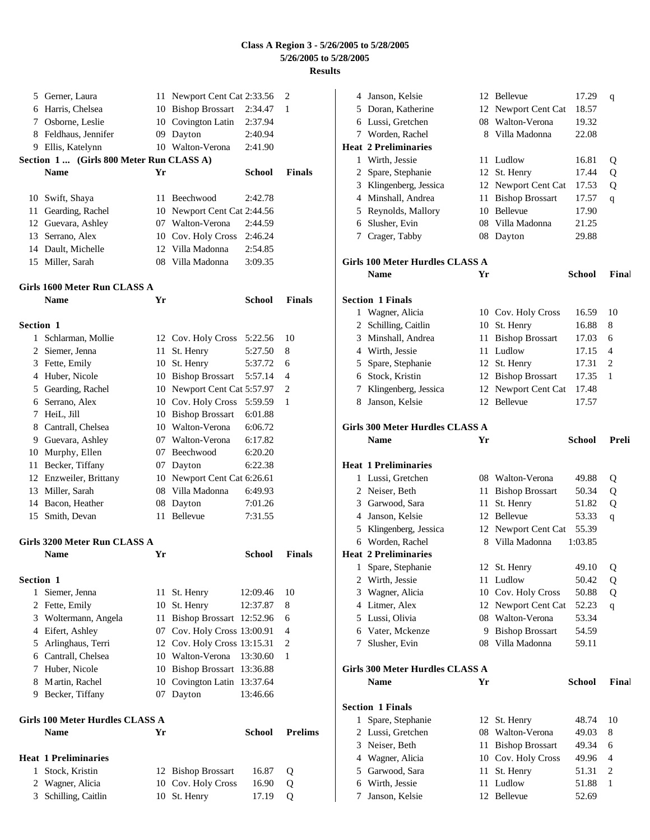|                  | 5 Gerner, Laura                         |    | 11 Newport Cent Cat 2:33.56 |               | 2              |
|------------------|-----------------------------------------|----|-----------------------------|---------------|----------------|
|                  | 6 Harris, Chelsea                       |    | 10 Bishop Brossart          | 2:34.47       | 1              |
|                  | 7 Osborne, Leslie                       |    | 10 Covington Latin          | 2:37.94       |                |
|                  | 8 Feldhaus, Jennifer                    |    | 09 Dayton                   | 2:40.94       |                |
|                  | 9 Ellis, Katelynn                       |    | 10 Walton-Verona            | 2:41.90       |                |
|                  | Section 1 (Girls 800 Meter Run CLASS A) |    |                             |               |                |
|                  | <b>Name</b>                             | Yr |                             | School        | <b>Finals</b>  |
|                  | 10 Swift, Shaya                         | 11 | Beechwood                   | 2:42.78       |                |
|                  | 11 Gearding, Rachel                     |    | 10 Newport Cent Cat 2:44.56 |               |                |
|                  | 12 Guevara, Ashley                      |    | 07 Walton-Verona            | 2:44.59       |                |
|                  | 13 Serrano, Alex                        |    | 10 Cov. Holy Cross          | 2:46.24       |                |
|                  | 14 Dault, Michelle                      |    | 12 Villa Madonna            | 2:54.85       |                |
|                  | 15 Miller, Sarah                        |    | 08 Villa Madonna            | 3:09.35       |                |
|                  |                                         |    |                             |               |                |
|                  | Girls 1600 Meter Run CLASS A            |    |                             |               |                |
|                  | <b>Name</b>                             | Yr |                             | <b>School</b> | <b>Finals</b>  |
| <b>Section 1</b> |                                         |    |                             |               |                |
|                  | 1 Schlarman, Mollie                     |    | 12 Cov. Holy Cross          | 5:22.56       | 10             |
|                  | 2 Siemer, Jenna                         | 11 | St. Henry                   | 5:27.50       | 8              |
|                  | 3 Fette, Emily                          |    | 10 St. Henry                | 5:37.72       | 6              |
|                  | 4 Huber, Nicole                         |    | 10 Bishop Brossart          | 5:57.14       | 4              |
|                  | 5 Gearding, Rachel                      |    | 10 Newport Cent Cat 5:57.97 |               | $\overline{c}$ |
|                  | 6 Serrano, Alex                         |    | 10 Cov. Holy Cross          | 5:59.59       | 1              |
|                  | 7 HeiL, Jill                            |    | 10 Bishop Brossart          | 6:01.88       |                |
|                  | 8 Cantrall, Chelsea                     |    | 10 Walton-Verona            | 6:06.72       |                |
|                  | 9 Guevara, Ashley                       |    | 07 Walton-Verona            | 6:17.82       |                |
|                  | 10 Murphy, Ellen                        |    | 07 Beechwood                | 6:20.20       |                |
| 11               | Becker, Tiffany                         |    | 07 Dayton                   | 6:22.38       |                |
|                  | 12 Enzweiler, Brittany                  |    | 10 Newport Cent Cat 6:26.61 |               |                |
|                  | 13 Miller, Sarah                        |    | 08 Villa Madonna            | 6:49.93       |                |
|                  | 14 Bacon, Heather                       |    | 08 Dayton                   | 7:01.26       |                |
|                  | 15 Smith, Devan                         | 11 | <b>Bellevue</b>             | 7:31.55       |                |
|                  | Girls 3200 Meter Run CLASS A            |    |                             |               |                |
|                  | <b>Name</b>                             | Yr |                             | School        | <b>Finals</b>  |
| Section 1        |                                         |    |                             |               |                |
|                  | 1 Siemer, Jenna                         |    | 11 St. Henry                | 12:09.46      | 10             |
|                  | 2 Fette, Emily                          |    | 10 St. Henry                | 12:37.87      | 8              |
|                  | 3 Woltermann, Angela                    |    | 11 Bishop Brossart 12:52.96 |               | 6              |
|                  | 4 Eifert, Ashley                        |    | 07 Cov. Holy Cross 13:00.91 |               | 4              |
|                  | 5 Arlinghaus, Terri                     |    | 12 Cov. Holy Cross 13:15.31 |               | 2              |
|                  | 6 Cantrall, Chelsea                     |    | 10 Walton-Verona            | 13:30.60      | 1              |
|                  | 7 Huber, Nicole                         |    | 10 Bishop Brossart 13:36.88 |               |                |
|                  | 8 Martin, Rachel                        |    | 10 Covington Latin 13:37.64 |               |                |
|                  | 9 Becker, Tiffany                       |    | 07 Dayton                   | 13:46.66      |                |
|                  | Girls 100 Meter Hurdles CLASS A         |    |                             |               |                |
|                  | <b>Name</b>                             | Yr |                             | <b>School</b> | <b>Prelims</b> |
|                  | <b>Heat 1 Preliminaries</b>             |    |                             |               |                |
| 1                | Stock, Kristin                          |    | 12 Bishop Brossart          | 16.87         | Q              |
| 2                | Wagner, Alicia                          |    | 10 Cov. Holy Cross          | 16.90         | Q              |
| 3                | Schilling, Caitlin                      | 10 | St. Henry                   | 17.19         | Q              |
|                  |                                         |    |                             |               |                |

| 4 | Janson, Kelsie                         | 12       | Bellevue                        | 17.29          | q              |
|---|----------------------------------------|----------|---------------------------------|----------------|----------------|
|   | 5 Doran, Katherine                     | 12       | Newport Cent Cat                | 18.57          |                |
| 6 | Lussi, Gretchen                        | 08       | Walton-Verona                   | 19.32          |                |
| 7 | Worden, Rachel                         |          | 8 Villa Madonna                 | 22.08          |                |
|   | <b>Heat 2 Preliminaries</b>            |          |                                 |                |                |
| 1 | Wirth, Jessie                          | 11       | Ludlow                          | 16.81          | Q              |
| 2 | Spare, Stephanie                       | 12       | St. Henry                       | 17.44          | Q              |
|   | 3 Klingenberg, Jessica                 | 12       | Newport Cent Cat                | 17.53          | Q              |
|   | 4 Minshall, Andrea                     | 11       | <b>Bishop Brossart</b>          | 17.57          | q              |
|   | 5 Reynolds, Mallory                    | 10       | Bellevue                        | 17.90          |                |
| 6 | Slusher, Evin                          | 08       | Villa Madonna                   | 21.25          |                |
| 7 | Crager, Tabby                          | 08       | Dayton                          | 29.88          |                |
|   | <b>Girls 100 Meter Hurdles CLASS A</b> |          |                                 |                |                |
|   | <b>Name</b>                            | Yr       |                                 | <b>School</b>  | Final          |
|   | <b>Section 1 Finals</b>                |          |                                 |                |                |
| 1 | Wagner, Alicia                         |          |                                 | 16.59          | 10             |
| 2 | Schilling, Caitlin                     | 10       | 10 Cov. Holy Cross<br>St. Henry | 16.88          | 8              |
| 3 | Minshall, Andrea                       | 11       | <b>Bishop Brossart</b>          | 17.03          | 6              |
|   | 4 Wirth, Jessie                        | 11       | Ludlow                          | 17.15          | 4              |
|   | 5 Spare, Stephanie                     | 12       | St. Henry                       | 17.31          | 2              |
|   | 6 Stock, Kristin                       | 12       |                                 | 17.35          | 1              |
| 7 |                                        | 12       | <b>Bishop Brossart</b>          | 17.48          |                |
| 8 | Klingenberg, Jessica<br>Janson, Kelsie | 12       | Newport Cent Cat<br>Bellevue    | 17.57          |                |
|   |                                        |          |                                 |                |                |
|   | <b>Girls 300 Meter Hurdles CLASS A</b> |          |                                 |                |                |
|   |                                        |          |                                 |                |                |
|   | <b>Name</b>                            | Yr       |                                 | <b>School</b>  | Preli          |
|   | <b>Heat 1 Preliminaries</b>            |          |                                 |                |                |
| 1 | Lussi, Gretchen                        |          | 08 Walton-Verona                | 49.88          | Q              |
|   | 2 Neiser, Beth                         | 11       | <b>Bishop Brossart</b>          | 50.34          | Q              |
|   | 3 Garwood, Sara                        | 11       | St. Henry                       | 51.82          | Q              |
|   | 4 Janson, Kelsie                       | 12       | Bellevue                        | 53.33          | q              |
|   | 5 Klingenberg, Jessica                 | 12       | Newport Cent Cat                | 55.39          |                |
|   | 6 Worden, Rachel                       |          | 8 Villa Madonna                 | 1:03.85        |                |
|   | <b>Heat 2 Preliminaries</b>            |          |                                 |                |                |
| 1 | Spare, Stephanie                       |          | 12 St. Henry                    | 49.10          | Q              |
| 2 | Wirth, Jessie                          | 11       | Ludlow                          | 50.42          | Q              |
|   | 3 Wagner, Alicia                       | 10       | Cov. Holy Cross                 | 50.88          | Q              |
|   | 4 Litmer, Alex                         | 12       | Newport Cent Cat                | 52.23          | $\mathbf q$    |
|   | 5 Lussi, Olivia                        | 08       | Walton-Verona                   | 53.34          |                |
|   | 6 Vater, Mckenze                       | 9        | <b>Bishop Brossart</b>          | 54.59          |                |
| 7 | Slusher, Evin                          |          | 08 Villa Madonna                | 59.11          |                |
|   | Girls 300 Meter Hurdles CLASS A        |          |                                 |                |                |
|   | Name                                   | Yr       |                                 | <b>School</b>  | Final          |
|   |                                        |          |                                 |                |                |
|   | <b>Section 1 Finals</b>                |          |                                 |                |                |
| 1 | Spare, Stephanie                       | 12<br>08 | St. Henry<br>Walton-Verona      | 48.74          | 10             |
|   | 2 Lussi, Gretchen                      |          |                                 | 49.03          | 8              |
|   | 3 Neiser, Beth                         | 11<br>10 | <b>Bishop Brossart</b>          | 49.34          | 6<br>4         |
|   | 4 Wagner, Alicia<br>5 Garwood, Sara    | 11       | Cov. Holy Cross                 | 49.96          | $\overline{c}$ |
|   | 6 Wirth, Jessie                        | 11       | St. Henry<br>Ludlow             | 51.31<br>51.88 | 1              |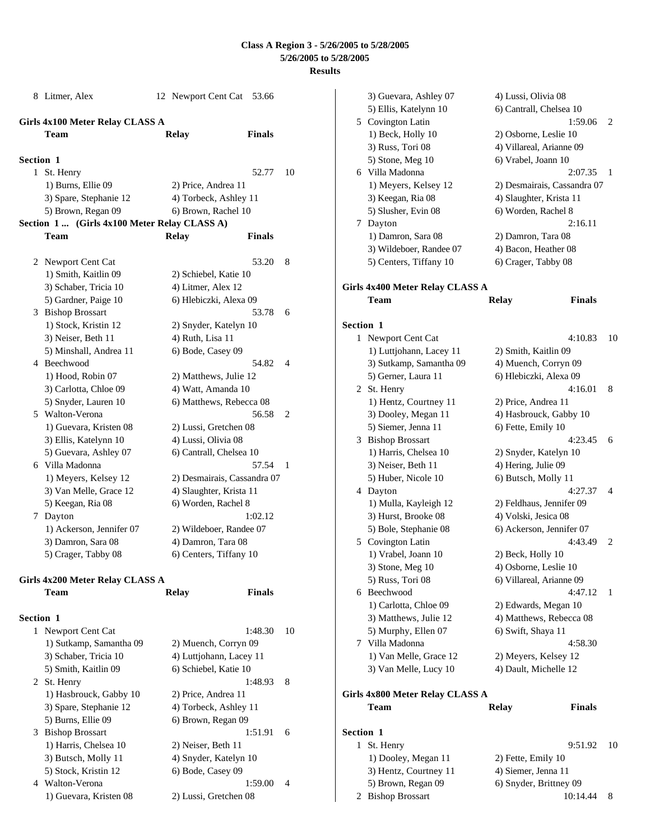|                  | 8 Litmer, Alex                               | 12 Newport Cent Cat 53.66   |               |    |
|------------------|----------------------------------------------|-----------------------------|---------------|----|
|                  | Girls 4x100 Meter Relay CLASS A              |                             |               |    |
|                  | <b>Team</b>                                  | Relay                       | <b>Finals</b> |    |
| <b>Section 1</b> |                                              |                             |               |    |
| 1                | St. Henry                                    |                             | 52.77         | 10 |
|                  | 1) Burns, Ellie 09                           | 2) Price, Andrea 11         |               |    |
|                  | 3) Spare, Stephanie 12                       | 4) Torbeck, Ashley 11       |               |    |
|                  | 5) Brown, Regan 09                           | 6) Brown, Rachel 10         |               |    |
|                  | Section 1  (Girls 4x100 Meter Relay CLASS A) |                             |               |    |
|                  | Team                                         | Relay                       | <b>Finals</b> |    |
|                  |                                              |                             |               |    |
|                  | 2 Newport Cent Cat                           |                             | 53.20         | 8  |
|                  | 1) Smith, Kaitlin 09                         | 2) Schiebel, Katie 10       |               |    |
|                  | 3) Schaber, Tricia 10                        | 4) Litmer, Alex 12          |               |    |
|                  | 5) Gardner, Paige 10                         | 6) Hlebiczki, Alexa 09      |               |    |
|                  | 3 Bishop Brossart                            |                             | 53.78         | 6  |
|                  | 1) Stock, Kristin 12                         | 2) Snyder, Katelyn 10       |               |    |
|                  | 3) Neiser, Beth 11                           | 4) Ruth, Lisa 11            |               |    |
|                  | 5) Minshall, Andrea 11                       | 6) Bode, Casey 09           |               |    |
|                  | 4 Beechwood                                  |                             | 54.82         | 4  |
|                  | 1) Hood, Robin 07                            | 2) Matthews, Julie 12       |               |    |
|                  | 3) Carlotta, Chloe 09                        | 4) Watt, Amanda 10          |               |    |
|                  | 5) Snyder, Lauren 10                         | 6) Matthews, Rebecca 08     |               |    |
|                  | 5 Walton-Verona                              |                             | 56.58         | 2  |
|                  | 1) Guevara, Kristen 08                       | 2) Lussi, Gretchen 08       |               |    |
|                  | 3) Ellis, Katelynn 10                        | 4) Lussi, Olivia 08         |               |    |
|                  | 5) Guevara, Ashley 07                        | 6) Cantrall, Chelsea 10     |               |    |
|                  | 6 Villa Madonna                              |                             | 57.54         | 1  |
|                  | 1) Meyers, Kelsey 12                         | 2) Desmairais, Cassandra 07 |               |    |
|                  | 3) Van Melle, Grace 12                       | 4) Slaughter, Krista 11     |               |    |
|                  | 5) Keegan, Ria 08                            | 6) Worden, Rachel 8         |               |    |
|                  | 7 Dayton                                     |                             | 1:02.12       |    |
|                  | 1) Ackerson, Jennifer 07                     | 2) Wildeboer, Randee 07     |               |    |
|                  | 3) Damron, Sara 08                           | 4) Damron, Tara 08          |               |    |
|                  | 5) Crager, Tabby 08                          | 6) Centers, Tiffany 10      |               |    |
|                  | Girls 4x200 Meter Relay CLASS A              |                             |               |    |
|                  | Team                                         | Relay                       | <b>Finals</b> |    |
|                  |                                              |                             |               |    |

| <b>Section 1</b> |                         |                         |                             |
|------------------|-------------------------|-------------------------|-----------------------------|
| 1                | Newport Cent Cat        | 1:48.30                 | 10                          |
|                  | 1) Sutkamp, Samantha 09 | 2) Muench, Corryn 09    |                             |
|                  | 3) Schaber, Tricia 10   | 4) Luttjohann, Lacey 11 |                             |
|                  | 5) Smith, Kaitlin 09    | 6) Schiebel, Katie 10   |                             |
|                  | 2 St. Henry             | 1:48.93                 | 8                           |
|                  | 1) Hasbrouck, Gabby 10  | 2) Price, Andrea 11     |                             |
|                  | 3) Spare, Stephanie 12  | 4) Torbeck, Ashley 11   |                             |
|                  | 5) Burns, Ellie 09      | 6) Brown, Regan 09      |                             |
|                  | 3 Bishop Brossart       | 1:51.91                 | 6                           |
|                  | 1) Harris, Chelsea 10   | 2) Neiser, Beth 11      |                             |
|                  | 3) Butsch, Molly 11     | 4) Snyder, Katelyn 10   |                             |
|                  | 5) Stock, Kristin 12    | 6) Bode, Casey 09       |                             |
|                  | 4 Walton-Verona         | 1:59.00                 | $\boldsymbol{\vartriangle}$ |
|                  | 1) Guevara, Kristen 08  | 2) Lussi, Gretchen 08   |                             |

| 6<br>7<br>1<br>3<br>4 | 3) Guevara, Ashley 07<br>5) Ellis, Katelynn 10<br>5 Covington Latin<br>1) Beck, Holly 10<br>3) Russ, Tori 08<br>5) Stone, Meg 10<br>Villa Madonna<br>1) Meyers, Kelsey 12<br>3) Keegan, Ria 08<br>5) Slusher, Evin 08<br>Dayton<br>1) Damron, Sara 08<br>3) Wildeboer, Randee 07<br>5) Centers, Tiffany 10<br>Girls 4x400 Meter Relay CLASS A<br>Team<br>Newport Cent Cat<br>1) Luttjohann, Lacey 11<br>3) Sutkamp, Samantha 09<br>5) Gerner, Laura 11<br>2 St. Henry<br>1) Hentz, Courtney 11<br>3) Dooley, Megan 11 | 4) Lussi, Olivia 08<br>6) Cantrall, Chelsea 10<br>2) Osborne, Leslie 10<br>4) Villareal, Arianne 09<br>6) Vrabel, Joann 10<br>4) Slaughter, Krista 11<br>6) Worden, Rachel 8<br>2) Damron, Tara 08<br>4) Bacon, Heather 08<br>6) Crager, Tabby 08<br>Relay<br>2) Smith, Kaitlin 09<br>4) Muench, Corryn 09<br>6) Hlebiczki, Alexa 09<br>2) Price, Andrea 11 | 1:59.06<br>2:07.35<br>2) Desmairais, Cassandra 07<br>2:16.11<br><b>Finals</b><br>4:10.83<br>4:16.01 | 2<br>1<br>10 |
|-----------------------|-----------------------------------------------------------------------------------------------------------------------------------------------------------------------------------------------------------------------------------------------------------------------------------------------------------------------------------------------------------------------------------------------------------------------------------------------------------------------------------------------------------------------|-------------------------------------------------------------------------------------------------------------------------------------------------------------------------------------------------------------------------------------------------------------------------------------------------------------------------------------------------------------|-----------------------------------------------------------------------------------------------------|--------------|
|                       |                                                                                                                                                                                                                                                                                                                                                                                                                                                                                                                       |                                                                                                                                                                                                                                                                                                                                                             |                                                                                                     |              |
|                       |                                                                                                                                                                                                                                                                                                                                                                                                                                                                                                                       |                                                                                                                                                                                                                                                                                                                                                             |                                                                                                     |              |
|                       |                                                                                                                                                                                                                                                                                                                                                                                                                                                                                                                       |                                                                                                                                                                                                                                                                                                                                                             |                                                                                                     |              |
|                       |                                                                                                                                                                                                                                                                                                                                                                                                                                                                                                                       |                                                                                                                                                                                                                                                                                                                                                             |                                                                                                     |              |
|                       |                                                                                                                                                                                                                                                                                                                                                                                                                                                                                                                       |                                                                                                                                                                                                                                                                                                                                                             |                                                                                                     |              |
|                       |                                                                                                                                                                                                                                                                                                                                                                                                                                                                                                                       |                                                                                                                                                                                                                                                                                                                                                             |                                                                                                     |              |
|                       |                                                                                                                                                                                                                                                                                                                                                                                                                                                                                                                       |                                                                                                                                                                                                                                                                                                                                                             |                                                                                                     |              |
|                       |                                                                                                                                                                                                                                                                                                                                                                                                                                                                                                                       |                                                                                                                                                                                                                                                                                                                                                             |                                                                                                     |              |
|                       |                                                                                                                                                                                                                                                                                                                                                                                                                                                                                                                       |                                                                                                                                                                                                                                                                                                                                                             |                                                                                                     |              |
|                       |                                                                                                                                                                                                                                                                                                                                                                                                                                                                                                                       |                                                                                                                                                                                                                                                                                                                                                             |                                                                                                     |              |
| <b>Section 1</b>      |                                                                                                                                                                                                                                                                                                                                                                                                                                                                                                                       |                                                                                                                                                                                                                                                                                                                                                             |                                                                                                     |              |
|                       |                                                                                                                                                                                                                                                                                                                                                                                                                                                                                                                       |                                                                                                                                                                                                                                                                                                                                                             |                                                                                                     |              |
|                       |                                                                                                                                                                                                                                                                                                                                                                                                                                                                                                                       |                                                                                                                                                                                                                                                                                                                                                             |                                                                                                     |              |
|                       |                                                                                                                                                                                                                                                                                                                                                                                                                                                                                                                       |                                                                                                                                                                                                                                                                                                                                                             |                                                                                                     |              |
|                       |                                                                                                                                                                                                                                                                                                                                                                                                                                                                                                                       |                                                                                                                                                                                                                                                                                                                                                             |                                                                                                     |              |
|                       |                                                                                                                                                                                                                                                                                                                                                                                                                                                                                                                       |                                                                                                                                                                                                                                                                                                                                                             |                                                                                                     |              |
|                       |                                                                                                                                                                                                                                                                                                                                                                                                                                                                                                                       |                                                                                                                                                                                                                                                                                                                                                             |                                                                                                     |              |
|                       |                                                                                                                                                                                                                                                                                                                                                                                                                                                                                                                       |                                                                                                                                                                                                                                                                                                                                                             |                                                                                                     |              |
|                       |                                                                                                                                                                                                                                                                                                                                                                                                                                                                                                                       |                                                                                                                                                                                                                                                                                                                                                             |                                                                                                     |              |
|                       |                                                                                                                                                                                                                                                                                                                                                                                                                                                                                                                       |                                                                                                                                                                                                                                                                                                                                                             |                                                                                                     |              |
|                       |                                                                                                                                                                                                                                                                                                                                                                                                                                                                                                                       |                                                                                                                                                                                                                                                                                                                                                             |                                                                                                     |              |
|                       |                                                                                                                                                                                                                                                                                                                                                                                                                                                                                                                       |                                                                                                                                                                                                                                                                                                                                                             |                                                                                                     | 8            |
|                       |                                                                                                                                                                                                                                                                                                                                                                                                                                                                                                                       |                                                                                                                                                                                                                                                                                                                                                             |                                                                                                     |              |
|                       |                                                                                                                                                                                                                                                                                                                                                                                                                                                                                                                       |                                                                                                                                                                                                                                                                                                                                                             | 4) Hasbrouck, Gabby 10                                                                              |              |
|                       | 5) Siemer, Jenna 11                                                                                                                                                                                                                                                                                                                                                                                                                                                                                                   | 6) Fette, Emily 10                                                                                                                                                                                                                                                                                                                                          |                                                                                                     |              |
|                       | <b>Bishop Brossart</b>                                                                                                                                                                                                                                                                                                                                                                                                                                                                                                |                                                                                                                                                                                                                                                                                                                                                             | 4:23.45                                                                                             | 6            |
|                       | 1) Harris, Chelsea 10                                                                                                                                                                                                                                                                                                                                                                                                                                                                                                 | 2) Snyder, Katelyn 10                                                                                                                                                                                                                                                                                                                                       |                                                                                                     |              |
|                       | 3) Neiser, Beth 11                                                                                                                                                                                                                                                                                                                                                                                                                                                                                                    | 4) Hering, Julie 09                                                                                                                                                                                                                                                                                                                                         |                                                                                                     |              |
|                       | 5) Huber, Nicole 10                                                                                                                                                                                                                                                                                                                                                                                                                                                                                                   | 6) Butsch, Molly 11                                                                                                                                                                                                                                                                                                                                         |                                                                                                     |              |
|                       | Dayton                                                                                                                                                                                                                                                                                                                                                                                                                                                                                                                |                                                                                                                                                                                                                                                                                                                                                             | 4:27.37                                                                                             | 4            |
|                       | 1) Mulla, Kayleigh 12                                                                                                                                                                                                                                                                                                                                                                                                                                                                                                 |                                                                                                                                                                                                                                                                                                                                                             | 2) Feldhaus, Jennifer 09                                                                            |              |
|                       | 3) Hurst, Brooke 08                                                                                                                                                                                                                                                                                                                                                                                                                                                                                                   | 4) Volski, Jesica 08                                                                                                                                                                                                                                                                                                                                        |                                                                                                     |              |
|                       | 5) Bole, Stephanie 08                                                                                                                                                                                                                                                                                                                                                                                                                                                                                                 |                                                                                                                                                                                                                                                                                                                                                             | 6) Ackerson, Jennifer 07                                                                            |              |
|                       | 5 Covington Latin                                                                                                                                                                                                                                                                                                                                                                                                                                                                                                     |                                                                                                                                                                                                                                                                                                                                                             | 4:43.49                                                                                             | 2            |
|                       | 1) Vrabel, Joann 10                                                                                                                                                                                                                                                                                                                                                                                                                                                                                                   | 2) Beck, Holly 10                                                                                                                                                                                                                                                                                                                                           |                                                                                                     |              |
|                       | 3) Stone, Meg 10                                                                                                                                                                                                                                                                                                                                                                                                                                                                                                      | 4) Osborne, Leslie 10                                                                                                                                                                                                                                                                                                                                       |                                                                                                     |              |
|                       | 5) Russ, Tori 08                                                                                                                                                                                                                                                                                                                                                                                                                                                                                                      | 6) Villareal, Arianne 09                                                                                                                                                                                                                                                                                                                                    |                                                                                                     |              |
| 6                     | Beechwood                                                                                                                                                                                                                                                                                                                                                                                                                                                                                                             |                                                                                                                                                                                                                                                                                                                                                             | 4:47.12                                                                                             | 1            |
|                       | 1) Carlotta, Chloe 09                                                                                                                                                                                                                                                                                                                                                                                                                                                                                                 | 2) Edwards, Megan 10                                                                                                                                                                                                                                                                                                                                        |                                                                                                     |              |
|                       | 3) Matthews, Julie 12                                                                                                                                                                                                                                                                                                                                                                                                                                                                                                 |                                                                                                                                                                                                                                                                                                                                                             | 4) Matthews, Rebecca 08                                                                             |              |
|                       | 5) Murphy, Ellen 07                                                                                                                                                                                                                                                                                                                                                                                                                                                                                                   | 6) Swift, Shaya 11                                                                                                                                                                                                                                                                                                                                          |                                                                                                     |              |
| 7                     | Villa Madonna                                                                                                                                                                                                                                                                                                                                                                                                                                                                                                         |                                                                                                                                                                                                                                                                                                                                                             | 4:58.30                                                                                             |              |
|                       | 1) Van Melle, Grace 12                                                                                                                                                                                                                                                                                                                                                                                                                                                                                                | 2) Meyers, Kelsey 12                                                                                                                                                                                                                                                                                                                                        |                                                                                                     |              |
|                       | 3) Van Melle, Lucy 10                                                                                                                                                                                                                                                                                                                                                                                                                                                                                                 | 4) Dault, Michelle 12                                                                                                                                                                                                                                                                                                                                       |                                                                                                     |              |
|                       | Girls 4x800 Meter Relay CLASS A                                                                                                                                                                                                                                                                                                                                                                                                                                                                                       |                                                                                                                                                                                                                                                                                                                                                             |                                                                                                     |              |
|                       | Team                                                                                                                                                                                                                                                                                                                                                                                                                                                                                                                  | <b>Relay</b>                                                                                                                                                                                                                                                                                                                                                | <b>Finals</b>                                                                                       |              |
| <b>Section 1</b>      |                                                                                                                                                                                                                                                                                                                                                                                                                                                                                                                       |                                                                                                                                                                                                                                                                                                                                                             |                                                                                                     |              |
| 1                     |                                                                                                                                                                                                                                                                                                                                                                                                                                                                                                                       |                                                                                                                                                                                                                                                                                                                                                             | 9:51.92                                                                                             | 10           |
|                       |                                                                                                                                                                                                                                                                                                                                                                                                                                                                                                                       |                                                                                                                                                                                                                                                                                                                                                             |                                                                                                     |              |
|                       | St. Henry                                                                                                                                                                                                                                                                                                                                                                                                                                                                                                             |                                                                                                                                                                                                                                                                                                                                                             |                                                                                                     |              |
|                       | 1) Dooley, Megan 11                                                                                                                                                                                                                                                                                                                                                                                                                                                                                                   | 2) Fette, Emily 10                                                                                                                                                                                                                                                                                                                                          |                                                                                                     |              |
| 2                     | 3) Hentz, Courtney 11<br>5) Brown, Regan 09                                                                                                                                                                                                                                                                                                                                                                                                                                                                           | 4) Siemer, Jenna 11<br>6) Snyder, Brittney 09                                                                                                                                                                                                                                                                                                               |                                                                                                     |              |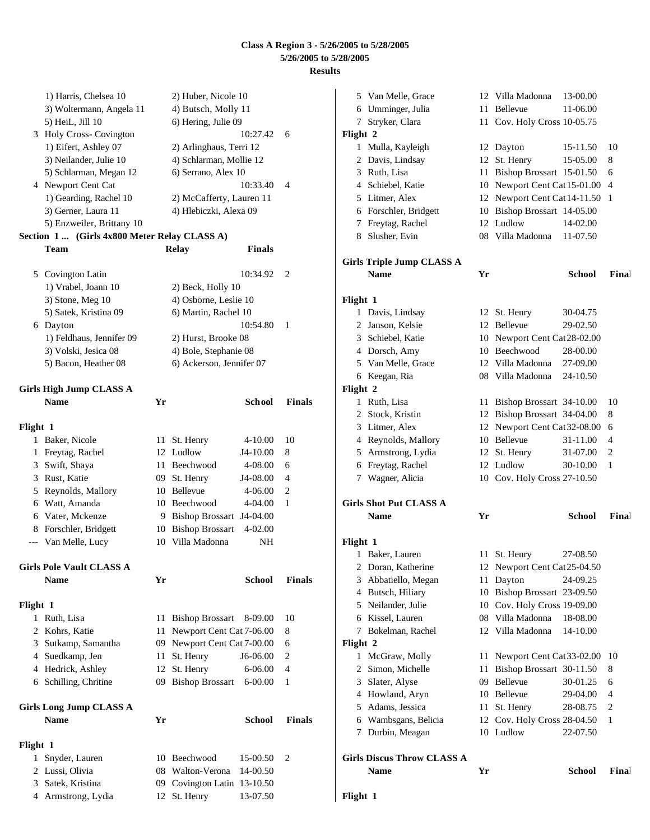|          | 1) Harris, Chelsea 10                        |    | 2) Huber, Nicole 10         |               |               |
|----------|----------------------------------------------|----|-----------------------------|---------------|---------------|
|          | 3) Woltermann, Angela 11                     |    | 4) Butsch, Molly 11         |               |               |
|          | 5) HeiL, Jill 10                             |    | 6) Hering, Julie 09         |               |               |
|          | 3 Holy Cross- Covington                      |    |                             | 10:27.42      | 6             |
|          | 1) Eifert, Ashley 07                         |    | 2) Arlinghaus, Terri 12     |               |               |
|          | 3) Neilander, Julie 10                       |    | 4) Schlarman, Mollie 12     |               |               |
|          | 5) Schlarman, Megan 12<br>4 Newport Cent Cat |    | 6) Serrano, Alex 10         | 10:33.40      | 4             |
|          | 1) Gearding, Rachel 10                       |    | 2) McCafferty, Lauren 11    |               |               |
|          | 3) Gerner, Laura 11                          |    | 4) Hlebiczki, Alexa 09      |               |               |
|          | 5) Enzweiler, Brittany 10                    |    |                             |               |               |
|          | Section 1 (Girls 4x800 Meter Relay CLASS A)  |    |                             |               |               |
|          | Team                                         |    | <b>Relay</b>                | <b>Finals</b> |               |
|          |                                              |    |                             |               |               |
|          | 5 Covington Latin                            |    |                             | 10:34.92      | 2             |
|          | 1) Vrabel, Joann 10                          |    | 2) Beck, Holly 10           |               |               |
|          | 3) Stone, Meg 10                             |    | 4) Osborne, Leslie 10       |               |               |
|          | 5) Satek, Kristina 09                        |    | 6) Martin, Rachel 10        |               |               |
|          | 6 Dayton                                     |    |                             | 10:54.80      | 1             |
|          | 1) Feldhaus, Jennifer 09                     |    | 2) Hurst, Brooke 08         |               |               |
|          | 3) Volski, Jesica 08                         |    | 4) Bole, Stephanie 08       |               |               |
|          | 5) Bacon, Heather 08                         |    | 6) Ackerson, Jennifer 07    |               |               |
|          | <b>Girls High Jump CLASS A</b>               |    |                             |               |               |
|          | <b>Name</b>                                  | Yr |                             | School        | Finals        |
| Flight 1 |                                              |    |                             |               |               |
|          | 1 Baker, Nicole                              | 11 | St. Henry                   | 4-10.00       | 10            |
| 1        | Freytag, Rachel                              |    | 12 Ludlow                   | J4-10.00      | 8             |
| 3        | Swift, Shaya                                 |    | 11 Beechwood                | 4-08.00       | 6             |
|          | 3 Rust, Katie                                |    | 09 St. Henry                | J4-08.00      | 4             |
|          | 5 Reynolds, Mallory                          |    | 10 Bellevue                 | 4-06.00       | 2             |
|          | 6 Watt, Amanda                               |    | 10 Beechwood                | 4-04.00       | 1             |
|          | 6 Vater, Mckenze                             |    | 9 Bishop Brossart           | J4-04.00      |               |
|          | 8 Forschler, Bridgett                        |    | 10 Bishop Brossart          | 4-02.00       |               |
| ---      | Van Melle, Lucy                              | 10 | Villa Madonna               | NH            |               |
|          | <b>Girls Pole Vault CLASS A</b>              |    |                             |               |               |
|          | <b>Name</b>                                  | Yr |                             | <b>School</b> | <b>Finals</b> |
|          |                                              |    |                             |               |               |
| Flight 1 |                                              |    |                             |               |               |
|          | 1 Ruth, Lisa                                 | 11 | <b>Bishop Brossart</b>      | 8-09.00       | 10            |
| 2        | Kohrs, Katie                                 | 11 | Newport Cent Cat 7-06.00    |               | 8             |
|          | 3 Sutkamp, Samantha                          |    | 09 Newport Cent Cat 7-00.00 |               | 6             |
|          | 4 Suedkamp, Jen                              | 11 | St. Henry                   | J6-06.00      | 2             |
|          | 4 Hedrick, Ashley                            | 12 | St. Henry                   | 6-06.00       | 4             |
|          | 6 Schilling, Chritine                        | 09 | Bishop Brossart 6-00.00     |               | 1             |
|          | <b>Girls Long Jump CLASS A</b>               |    |                             |               |               |
|          | <b>Name</b>                                  | Yr |                             | <b>School</b> | Finals        |
| Flight 1 |                                              |    |                             |               |               |
| 1        | Snyder, Lauren                               |    | 10 Beechwood                | 15-00.50      | 2             |
| 2        | Lussi, Olivia                                |    | 08 Walton-Verona            | 14-00.50      |               |
| 3        | Satek, Kristina                              |    | 09 Covington Latin 13-10.50 |               |               |
|          | 4 Armstrong, Lydia                           | 12 | St. Henry                   | 13-07.50      |               |

|          | 5 Van Melle, Grace                |      | 12 Villa Madonna             | 13-00.00      |       |
|----------|-----------------------------------|------|------------------------------|---------------|-------|
|          | 6 Umminger, Julia                 | 11 - | Bellevue                     | 11-06.00      |       |
| 7        | Stryker, Clara                    |      | 11 Cov. Holy Cross 10-05.75  |               |       |
| Flight 2 |                                   |      |                              |               |       |
|          | 1 Mulla, Kayleigh                 |      | 12 Dayton                    | 15-11.50      | 10    |
|          | 2 Davis, Lindsay                  |      | 12 St. Henry                 | 15-05.00      | 8     |
|          | 3 Ruth, Lisa                      |      | 11 Bishop Brossart 15-01.50  |               | 6     |
|          | 4 Schiebel, Katie                 |      | 10 Newport Cent Cat 15-01.00 |               | 4     |
|          | 5 Litmer, Alex                    |      | 12 Newport Cent Cat 14-11.50 |               | 1     |
|          | 6 Forschler, Bridgett             |      | 10 Bishop Brossart 14-05.00  |               |       |
|          | 7 Freytag, Rachel                 |      | 12 Ludlow                    | 14-02.00      |       |
|          | 8 Slusher, Evin                   |      | 08 Villa Madonna             | 11-07.50      |       |
|          |                                   |      |                              |               |       |
|          | <b>Girls Triple Jump CLASS A</b>  |      |                              |               |       |
|          | <b>Name</b>                       | Yr   |                              | <b>School</b> | Final |
|          |                                   |      |                              |               |       |
| Flight 1 |                                   |      |                              |               |       |
|          | 1 Davis, Lindsay                  |      | 12 St. Henry                 | 30-04.75      |       |
|          | 2 Janson, Kelsie                  |      | 12 Bellevue                  | 29-02.50      |       |
|          | 3 Schiebel, Katie                 |      | 10 Newport Cent Cat 28-02.00 |               |       |
|          | 4 Dorsch, Amy                     |      | 10 Beechwood                 | 28-00.00      |       |
|          | 5 Van Melle, Grace                |      | 12 Villa Madonna             | 27-09.00      |       |
|          | 6 Keegan, Ria                     |      | 08 Villa Madonna             | 24-10.50      |       |
| Flight 2 |                                   |      |                              |               |       |
|          | 1 Ruth, Lisa                      |      | 11 Bishop Brossart 34-10.00  |               | 10    |
|          | 2 Stock, Kristin                  |      | 12 Bishop Brossart 34-04.00  |               | 8     |
|          | 3 Litmer, Alex                    |      | 12 Newport Cent Cat32-08.00  |               | 6     |
|          | 4 Reynolds, Mallory               |      | 10 Bellevue                  | 31-11.00      | 4     |
|          |                                   |      |                              |               |       |
|          | 5 Armstrong, Lydia                |      | 12 St. Henry                 | 31-07.00      | 2     |
|          | 6 Freytag, Rachel                 |      | 12 Ludlow                    | 30-10.00      | 1     |
| 7        | Wagner, Alicia                    |      | 10 Cov. Holy Cross 27-10.50  |               |       |
|          |                                   |      |                              |               |       |
|          | <b>Girls Shot Put CLASS A</b>     |      |                              |               |       |
|          | <b>Name</b>                       | Yr   |                              | <b>School</b> | Final |
|          |                                   |      |                              |               |       |
| Flight 1 |                                   |      |                              |               |       |
|          | 1 Baker, Lauren                   |      | 11 St. Henry                 | 27-08.50      |       |
|          | 2 Doran, Katherine                |      | 12 Newport Cent Cat 25-04.50 |               |       |
|          | 3 Abbatiello, Megan               |      | 11 Dayton                    | 24-09.25      |       |
|          | 4 Butsch, Hiliary                 |      | 10 Bishop Brossart 23-09.50  |               |       |
|          | 5 Neilander, Julie                |      | 10 Cov. Holy Cross 19-09.00  |               |       |
|          | 6 Kissel, Lauren                  |      | 08 Villa Madonna             | 18-08.00      |       |
| 7        | Bokelman, Rachel                  |      | 12 Villa Madonna             | 14-10.00      |       |
| Flight 2 |                                   |      |                              |               |       |
|          | 1 McGraw, Molly                   |      | 11 Newport Cent Cat 33-02.00 |               | 10    |
|          | 2 Simon, Michelle                 | 11   | Bishop Brossart 30-11.50     |               | 8     |
|          | 3 Slater, Alyse                   |      | 09 Bellevue                  | 30-01.25      | 6     |
|          | 4 Howland, Aryn                   |      | 10 Bellevue                  | 29-04.00      | 4     |
|          | 5 Adams, Jessica                  | 11 - | St. Henry                    | 28-08.75      | 2     |
|          | 6 Wambsgans, Belicia              |      | 12 Cov. Holy Cross 28-04.50  |               | 1     |
| 7        | Durbin, Meagan                    |      | 10 Ludlow                    | 22-07.50      |       |
|          | <b>Girls Discus Throw CLASS A</b> |      |                              |               |       |
|          | Name                              | Yr   |                              | <b>School</b> | Final |
|          |                                   |      |                              |               |       |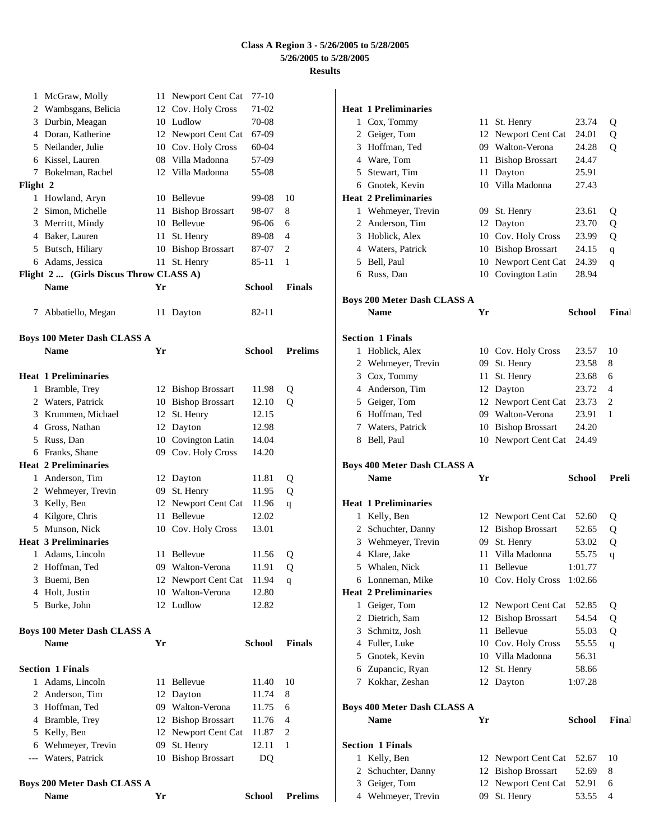| 1            | McGraw, Molly                          |    | 11 Newport Cent Cat    | 77-10         |                |
|--------------|----------------------------------------|----|------------------------|---------------|----------------|
|              | 2 Wambsgans, Belicia                   |    | 12 Cov. Holy Cross     | 71-02         |                |
| 3            | Durbin, Meagan                         |    | 10 Ludlow              | 70-08         |                |
|              | 4 Doran, Katherine                     |    | 12 Newport Cent Cat    | 67-09         |                |
|              | 5 Neilander, Julie                     |    | 10 Cov. Holy Cross     | 60-04         |                |
|              | 6 Kissel, Lauren                       |    | 08 Villa Madonna       | 57-09         |                |
|              | 7 Bokelman, Rachel                     |    | 12 Villa Madonna       | 55-08         |                |
| Flight 2     |                                        |    |                        |               |                |
|              | 1 Howland, Aryn                        |    | 10 Bellevue            | 99-08         | 10             |
|              | 2 Simon, Michelle                      | 11 | <b>Bishop Brossart</b> | 98-07         | 8              |
|              | 3 Merritt, Mindy                       |    | 10 Bellevue            | 96-06         | 6              |
|              | 4 Baker, Lauren                        | 11 | St. Henry              | 89-08         | $\overline{4}$ |
|              | 5 Butsch, Hiliary                      |    | 10 Bishop Brossart     | 87-07         | 2              |
|              | 6 Adams, Jessica                       | 11 | St. Henry              | 85-11         | 1              |
|              | Flight 2  (Girls Discus Throw CLASS A) |    |                        |               |                |
|              | <b>Name</b>                            | Yr |                        | School        | <b>Finals</b>  |
|              | 7 Abbatiello, Megan                    |    | 11 Dayton              | 82-11         |                |
|              |                                        |    |                        |               |                |
|              | <b>Boys 100 Meter Dash CLASS A</b>     |    |                        |               |                |
|              | <b>Name</b>                            | Yr |                        | <b>School</b> | <b>Prelims</b> |
|              | <b>Heat 1 Preliminaries</b>            |    |                        |               |                |
| $\mathbf{1}$ | Bramble, Trey                          |    | 12 Bishop Brossart     | 11.98         | Q              |
|              | 2 Waters, Patrick                      |    | 10 Bishop Brossart     | 12.10         | Q              |
|              | 3 Krummen, Michael                     | 12 | St. Henry              | 12.15         |                |
|              | 4 Gross, Nathan                        |    | 12 Dayton              | 12.98         |                |
|              | 5 Russ, Dan                            |    | 10 Covington Latin     | 14.04         |                |
|              | 6 Franks, Shane                        |    | 09 Cov. Holy Cross     | 14.20         |                |
|              | <b>Heat 2 Preliminaries</b>            |    |                        |               |                |
|              | 1 Anderson, Tim                        |    | 12 Dayton              | 11.81         | Q              |
|              | 2 Wehmeyer, Trevin                     | 09 | St. Henry              | 11.95         | Q              |
| 3            | Kelly, Ben                             |    | 12 Newport Cent Cat    | 11.96         | q              |
|              | 4 Kilgore, Chris                       | 11 | <b>Bellevue</b>        | 12.02         |                |
|              | 5 Munson, Nick                         |    | 10 Cov. Holy Cross     | 13.01         |                |
|              | <b>Heat 3 Preliminaries</b>            |    |                        |               |                |
|              | 1 Adams, Lincoln                       |    | 11 Bellevue            | 11.56         | Q              |
| 2            | Hoffman, Ted                           |    | 09 Walton-Verona       | 11.91         | Q              |
| 3            | Buemi, Ben                             | 12 | Newport Cent Cat       | 11.94         | q              |
|              | 4 Holt, Justin                         |    | 10 Walton-Verona       | 12.80         |                |
|              | 5 Burke, John                          |    | 12 Ludlow              | 12.82         |                |
|              | <b>Boys 100 Meter Dash CLASS A</b>     |    |                        |               |                |
|              | <b>Name</b>                            | Yr |                        | <b>School</b> | <b>Finals</b>  |
|              | <b>Section 1 Finals</b>                |    |                        |               |                |
|              | 1 Adams, Lincoln                       | 11 | <b>Bellevue</b>        | 11.40         | 10             |
|              | 2 Anderson, Tim                        |    | 12 Dayton              | 11.74         | 8              |
|              | 3 Hoffman, Ted                         |    | 09 Walton-Verona       | 11.75         | 6              |
|              | 4 Bramble, Trey                        |    | 12 Bishop Brossart     | 11.76         | $\overline{4}$ |
|              | 5 Kelly, Ben                           |    | 12 Newport Cent Cat    | 11.87         | 2              |
|              | 6 Wehmeyer, Trevin                     | 09 | St. Henry              | 12.11         | $\mathbf{1}$   |
|              | --- Waters, Patrick                    |    | 10 Bishop Brossart     | DQ            |                |
|              | <b>Boys 200 Meter Dash CLASS A</b>     |    |                        |               |                |
|              | <b>Name</b>                            | Yr |                        | <b>School</b> | <b>Prelims</b> |

|   | <b>Heat 1 Preliminaries</b>                       |     |                        |               |             |
|---|---------------------------------------------------|-----|------------------------|---------------|-------------|
| 1 | Cox, Tommy                                        |     | 11 St. Henry           | 23.74         | Q           |
| 2 | Geiger, Tom                                       | 12  | Newport Cent Cat       | 24.01         | Q           |
|   | 3 Hoffman, Ted                                    |     | 09 Walton-Verona       | 24.28         | Q           |
|   | 4 Ware, Tom                                       | 11  | <b>Bishop Brossart</b> | 24.47         |             |
|   | 5 Stewart, Tim                                    | 11  | Dayton                 | 25.91         |             |
|   | 6 Gnotek, Kevin                                   |     | 10 Villa Madonna       | 27.43         |             |
|   | <b>Heat 2 Preliminaries</b>                       |     |                        |               |             |
| 1 | Wehmeyer, Trevin                                  |     | 09 St. Henry           | 23.61         | Q           |
| 2 | Anderson, Tim                                     | 12  | Dayton                 | 23.70         | Q           |
|   | 3 Hoblick, Alex                                   |     | 10 Cov. Holy Cross     | 23.99         | Q           |
|   | 4 Waters, Patrick                                 |     | 10 Bishop Brossart     | 24.15         | $\mathbf q$ |
|   | 5 Bell, Paul                                      | 10  | Newport Cent Cat       | 24.39         | q           |
|   | 6 Russ, Dan                                       |     | 10 Covington Latin     | 28.94         |             |
|   | Boys 200 Meter Dash CLASS A                       |     |                        |               |             |
|   | <b>Name</b>                                       | Yr  |                        | <b>School</b> | Final       |
|   |                                                   |     |                        |               |             |
|   | <b>Section 1 Finals</b>                           |     |                        |               |             |
| 1 | Hoblick, Alex                                     |     | 10 Cov. Holy Cross     | 23.57         | 10          |
| 2 | Wehmeyer, Trevin                                  |     | 09 St. Henry           | 23.58         | 8           |
|   | 3 Cox, Tommy                                      | 11  | St. Henry              | 23.68         | 6           |
|   | 4 Anderson, Tim                                   | 12  | Dayton                 | 23.72         | 4           |
|   | 5 Geiger, Tom                                     | 12  | Newport Cent Cat       | 23.73         | 2           |
|   | 6 Hoffman, Ted                                    |     | 09 Walton-Verona       | 23.91         | 1           |
|   | 7 Waters, Patrick                                 |     | 10 Bishop Brossart     | 24.20         |             |
|   | 8 Bell, Paul                                      |     | 10 Newport Cent Cat    | 24.49         |             |
|   |                                                   |     |                        |               |             |
|   | <b>Boys 400 Meter Dash CLASS A</b><br><b>Name</b> | Yr  |                        | School        | Preli       |
|   |                                                   |     |                        |               |             |
|   | <b>Heat 1 Preliminaries</b>                       |     |                        |               |             |
| 1 | Kelly, Ben                                        |     | 12 Newport Cent Cat    | 52.60         | Q           |
| 2 | Schuchter, Danny                                  |     | 12 Bishop Brossart     | 52.65         | Q           |
|   | 3 Wehmeyer, Trevin                                | 09. | St. Henry              | 53.02         | Q           |
|   | 4 Klare, Jake                                     | 11  | Villa Madonna          | 55.75         | q           |
| 5 | Whalen, Nick                                      | 11  | Bellevue               | 1:01.77       |             |
|   | 6 Lonneman, Mike                                  |     | 10 Cov. Holy Cross     | 1:02.66       |             |
|   | <b>Heat 2 Preliminaries</b>                       |     |                        |               |             |
| 1 | Geiger, Tom                                       | 12  | Newport Cent Cat       | 52.85         | Q           |
| 2 | Dietrich, Sam                                     | 12  | <b>Bishop Brossart</b> | 54.54         | Q           |
| 3 | Schmitz, Josh                                     | 11  | Bellevue               | 55.03         | Q           |
|   | 4 Fuller, Luke                                    |     | 10 Cov. Holy Cross     | 55.55         | q           |
|   | 5 Gnotek, Kevin                                   |     | 10 Villa Madonna       | 56.31         |             |
| 6 | Zupancic, Ryan                                    | 12  | St. Henry              | 58.66         |             |
| 7 | Kokhar, Zeshan                                    | 12  | Dayton                 | 1:07.28       |             |
|   | <b>Boys 400 Meter Dash CLASS A</b>                |     |                        |               |             |
|   | <b>Name</b>                                       | Yr  |                        | School        | Final       |
|   |                                                   |     |                        |               |             |
| 1 | <b>Section 1 Finals</b><br>Kelly, Ben             | 12  | Newport Cent Cat       | 52.67         | 10          |
| 2 | Schuchter, Danny                                  | 12  | <b>Bishop Brossart</b> | 52.69         | 8           |
| 3 | Geiger, Tom                                       | 12  | Newport Cent Cat       | 52.91         | 6           |
|   | 4 Wehmeyer, Trevin                                |     | 09 St. Henry           | 53.55         | 4           |
|   |                                                   |     |                        |               |             |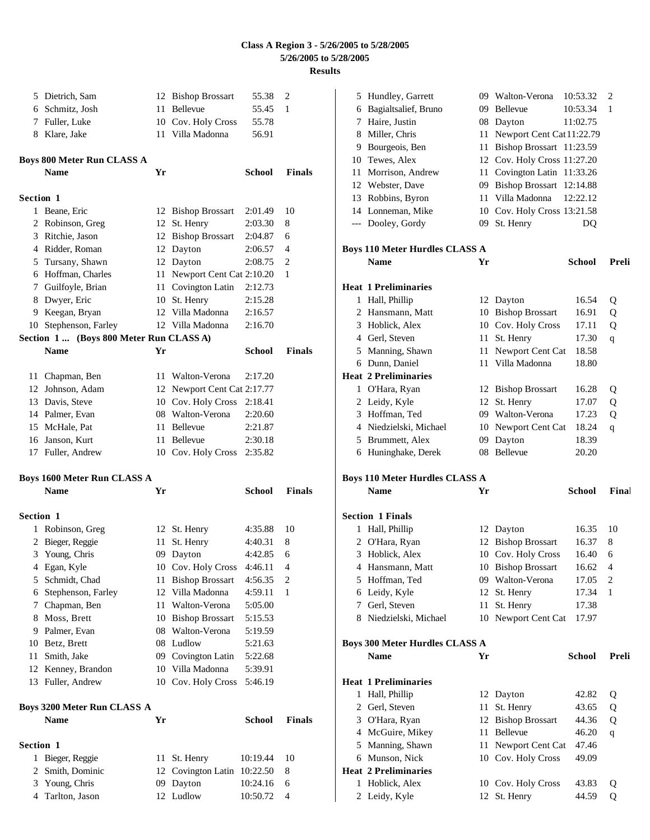|                  | 5 Dietrich, Sam                         |    | 12 Bishop Brossart          | 55.38         | 2             |
|------------------|-----------------------------------------|----|-----------------------------|---------------|---------------|
|                  | 6 Schmitz, Josh                         | 11 | Bellevue                    | 55.45         | 1             |
|                  | 7 Fuller, Luke                          |    | 10 Cov. Holy Cross          | 55.78         |               |
|                  | 8 Klare, Jake                           |    | 11 Villa Madonna            | 56.91         |               |
|                  | Boys 800 Meter Run CLASS A              |    |                             |               |               |
|                  | <b>Name</b>                             | Yr |                             | School        | Finals        |
| Section 1        |                                         |    |                             |               |               |
|                  | 1 Beane, Eric                           |    | 12 Bishop Brossart          | 2:01.49       | 10            |
|                  | 2 Robinson, Greg                        |    | 12 St. Henry                | 2:03.30       | 8             |
|                  | 3 Ritchie, Jason                        |    | 12 Bishop Brossart          | 2:04.87       | 6             |
|                  | 4 Ridder, Roman                         |    | 12 Dayton                   | 2:06.57       | 4             |
|                  | 5 Tursany, Shawn                        |    | 12 Dayton                   | 2:08.75       | 2             |
|                  | 6 Hoffman, Charles                      |    | 11 Newport Cent Cat 2:10.20 |               | 1             |
|                  | 7 Guilfoyle, Brian                      |    | 11 Covington Latin          | 2:12.73       |               |
|                  | 8 Dwyer, Eric                           |    | 10 St. Henry                | 2:15.28       |               |
|                  | 9 Keegan, Bryan                         |    | 12 Villa Madonna            | 2:16.57       |               |
|                  | 10 Stephenson, Farley                   |    | 12 Villa Madonna            | 2:16.70       |               |
|                  | Section 1  (Boys 800 Meter Run CLASS A) |    |                             |               |               |
|                  | <b>Name</b>                             | Yr |                             | School        | <b>Finals</b> |
|                  | 11 Chapman, Ben                         |    | 11 Walton-Verona            | 2:17.20       |               |
|                  | 12 Johnson, Adam                        |    | 12 Newport Cent Cat 2:17.77 |               |               |
|                  | 13 Davis, Steve                         |    | 10 Cov. Holy Cross          | 2:18.41       |               |
|                  | 14 Palmer, Evan                         |    | 08 Walton-Verona            | 2:20.60       |               |
|                  | 15 McHale, Pat                          |    | 11 Bellevue                 | 2:21.87       |               |
|                  | 16 Janson, Kurt                         |    | 11 Bellevue                 | 2:30.18       |               |
|                  | 17 Fuller, Andrew                       |    | 10 Cov. Holy Cross          | 2:35.82       |               |
|                  | <b>Boys 1600 Meter Run CLASS A</b>      |    |                             |               |               |
|                  | <b>Name</b>                             | Yr |                             | School        | Finals        |
| Section 1        |                                         |    |                             |               |               |
| 1                | Robinson, Greg                          |    | 12 St. Henry                | 4:35.88       | 10            |
| 2                | Bieger, Reggie                          | 11 | St. Henry                   | 4:40.31       | 8             |
|                  | 3 Young, Chris                          | 09 | Dayton                      | 4:42.85       | 6             |
| 4                | Egan, Kyle                              |    | 10 Cov. Holy Cross          | 4:46.11       | 4             |
| 5                | Schmidt, Chad                           | 11 | <b>Bishop Brossart</b>      | 4:56.35       | 2             |
| 6                | Stephenson, Farley                      |    | 12 Villa Madonna            | 4:59.11       | 1             |
| 7                | Chapman, Ben                            |    | 11 Walton-Verona            | 5:05.00       |               |
| 8                | Moss, Brett                             |    | 10 Bishop Brossart          | 5:15.53       |               |
| 9                | Palmer, Evan                            |    | 08 Walton-Verona            | 5:19.59       |               |
| 10               | Betz, Brett                             |    | 08 Ludlow                   | 5:21.63       |               |
| 11               | Smith, Jake                             |    | 09 Covington Latin          | 5:22.68       |               |
| 12               | Kenney, Brandon                         |    | 10 Villa Madonna            | 5:39.91       |               |
|                  | 13 Fuller, Andrew                       |    | 10 Cov. Holy Cross          | 5:46.19       |               |
|                  | Boys 3200 Meter Run CLASS A             |    |                             |               |               |
|                  | <b>Name</b>                             | Yr |                             | <b>School</b> | <b>Finals</b> |
| <b>Section 1</b> |                                         |    |                             |               |               |
| 1                | Bieger, Reggie                          | 11 | St. Henry                   | 10:19.44      | 10            |
| 2                | Smith, Dominic                          | 12 | Covington Latin 10:22.50    |               | 8             |
| 3                | Young, Chris                            | 09 | Dayton                      | 10:24.16      | 6             |
| 4                | Tarlton, Jason                          |    | 12 Ludlow                   | 10:50.72      | 4             |

|    | 5 Hundley, Garrett                                   |    | 09 Walton-Verona          | 10:53.32      | 2                        |
|----|------------------------------------------------------|----|---------------------------|---------------|--------------------------|
|    | 6 Bagialtsalief, Bruno                               | 09 | Bellevue                  | 10:53.34      | 1                        |
|    | 7 Haire, Justin                                      | 08 | Dayton                    | 11:02.75      |                          |
|    | 8 Miller, Chris                                      | 11 | Newport Cent Cat 11:22.79 |               |                          |
|    | 9 Bourgeois, Ben                                     | 11 | Bishop Brossart 11:23.59  |               |                          |
|    | 10 Tewes, Alex                                       | 12 | Cov. Holy Cross 11:27.20  |               |                          |
| 11 | Morrison, Andrew                                     | 11 | Covington Latin 11:33.26  |               |                          |
|    | 12 Webster, Dave                                     | 09 | Bishop Brossart 12:14.88  |               |                          |
|    | 13 Robbins, Byron                                    | 11 | Villa Madonna             | 12:22.12      |                          |
|    | 14 Lonneman, Mike                                    | 10 | Cov. Holy Cross 13:21.58  |               |                          |
|    | --- Dooley, Gordy                                    | 09 | St. Henry                 | DQ            |                          |
|    |                                                      |    |                           |               |                          |
|    | <b>Boys 110 Meter Hurdles CLASS A</b>                |    |                           |               |                          |
|    | <b>Name</b>                                          | Yr |                           | <b>School</b> | Preli                    |
|    |                                                      |    |                           |               |                          |
|    | <b>Heat 1 Preliminaries</b>                          |    |                           |               |                          |
|    | 1 Hall, Phillip                                      |    | 12 Dayton                 | 16.54         | Q                        |
|    | 2 Hansmann, Matt                                     |    | 10 Bishop Brossart        | 16.91         | Q                        |
|    | 3 Hoblick, Alex                                      |    | 10 Cov. Holy Cross        | 17.11         | Q                        |
|    | 4 Gerl, Steven                                       | 11 | St. Henry                 | 17.30         | q                        |
|    | 5 Manning, Shawn                                     | 11 | Newport Cent Cat          | 18.58         |                          |
|    | 6 Dunn, Daniel                                       | 11 | Villa Madonna             | 18.80         |                          |
|    | <b>Heat 2 Preliminaries</b>                          |    |                           |               |                          |
|    | 1 O'Hara, Ryan                                       |    | 12 Bishop Brossart        | 16.28         | Q                        |
|    | 2 Leidy, Kyle                                        |    | 12 St. Henry              | 17.07         | Q                        |
|    | 3 Hoffman, Ted                                       |    | 09 Walton-Verona          | 17.23         | Q                        |
|    | 4 Niedzielski, Michael                               | 10 | Newport Cent Cat          | 18.24         | q                        |
|    | 5 Brummett, Alex                                     | 09 | Dayton                    | 18.39         |                          |
|    |                                                      |    | 08 Bellevue               | 20.20         |                          |
|    | 6 Huninghake, Derek                                  |    |                           |               |                          |
|    |                                                      |    |                           |               |                          |
|    | <b>Boys 110 Meter Hurdles CLASS A</b><br><b>Name</b> | Yr |                           | <b>School</b> | Final                    |
|    |                                                      |    |                           |               |                          |
|    | <b>Section 1 Finals</b>                              |    |                           |               |                          |
|    | 1 Hall, Phillip                                      |    | 12 Dayton                 | 16.35         | 10                       |
|    | 2 O'Hara, Ryan                                       |    | 12 Bishop Brossart        | 16.37         | 8                        |
|    | 3 Hoblick, Alex                                      |    | 10 Cov. Holy Cross        | 16.40         | 6                        |
|    | 4 Hansmann, Matt                                     |    | 10 Bishop Brossart        | 16.62         | $\overline{\mathcal{L}}$ |
|    | 5 Hoffman, Ted                                       |    | 09 Walton-Verona          | 17.05         | 2                        |
|    | 6 Leidy, Kyle                                        |    | 12 St. Henry              | 17.34         | 1                        |
|    | 7 Gerl, Steven                                       | 11 | St. Henry                 | 17.38         |                          |
|    | 8 Niedzielski, Michael                               | 10 | Newport Cent Cat          | 17.97         |                          |
|    |                                                      |    |                           |               |                          |
|    | <b>Boys 300 Meter Hurdles CLASS A</b>                |    |                           |               |                          |
|    | Name                                                 | Yr |                           | <b>School</b> | Preli                    |
|    | <b>Heat 1 Preliminaries</b>                          |    |                           |               |                          |
| 1  | Hall, Phillip                                        |    | 12 Dayton                 | 42.82         | Q                        |
|    | 2 Gerl, Steven                                       | 11 | St. Henry                 | 43.65         | Q                        |
|    | 3 O'Hara, Ryan                                       |    | 12 Bishop Brossart        | 44.36         | Q                        |
|    | 4 McGuire, Mikey                                     | 11 | Bellevue                  | 46.20         | $\mathbf q$              |
|    | 5 Manning, Shawn                                     | 11 | Newport Cent Cat          | 47.46         |                          |
|    | 6 Munson, Nick                                       |    | 10 Cov. Holy Cross        | 49.09         |                          |
|    | <b>Heat 2 Preliminaries</b>                          |    |                           |               |                          |
| 1  | Hoblick, Alex                                        |    | 10 Cov. Holy Cross        | 43.83         | Q                        |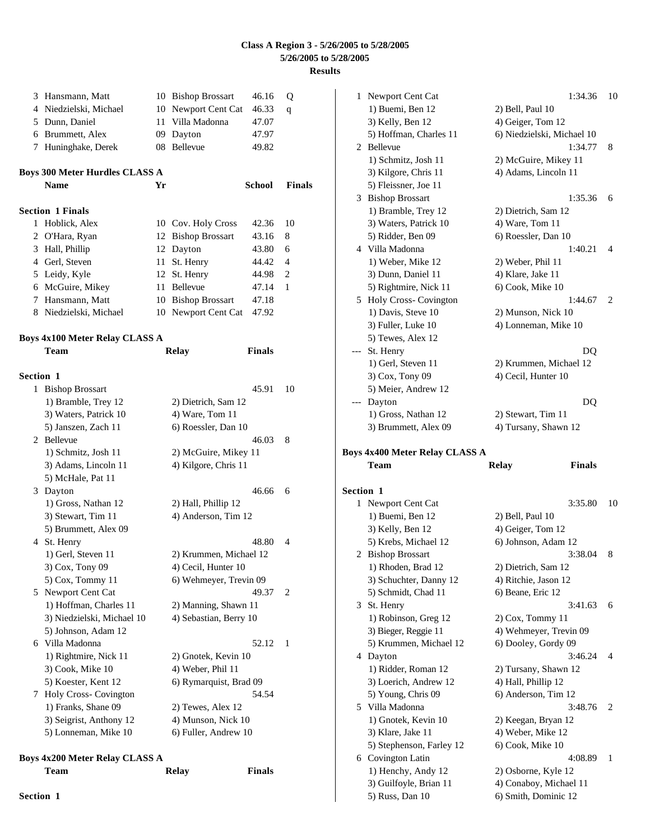|    | 3 Hansmann, Matt               |    | 10 Bishop Brossart     | 46.16         | Q      |
|----|--------------------------------|----|------------------------|---------------|--------|
|    | 4 Niedzielski, Michael         |    | 10 Newport Cent Cat    | 46.33         | q      |
|    | 5 Dunn, Daniel                 |    | 11 Villa Madonna       | 47.07         |        |
|    | 6 Brummett, Alex               |    | 09 Dayton              | 47.97         |        |
|    | 7 Huninghake, Derek            |    | 08 Bellevue            | 49.82         |        |
|    | Boys 300 Meter Hurdles CLASS A |    |                        |               |        |
|    | <b>Name</b>                    | Yr |                        | <b>School</b> | Finals |
|    | <b>Section 1 Finals</b>        |    |                        |               |        |
|    | 1 Hoblick, Alex                |    | 10 Cov. Holy Cross     | 42.36         | 10     |
| 2  | O'Hara, Ryan                   |    | 12 Bishop Brossart     | 43.16         | 8      |
| 3  | Hall, Phillip                  |    | 12 Dayton              | 43.80         | 6      |
|    | 4 Gerl, Steven                 |    | 11 St. Henry           | 44.42         | 4      |
|    | 5 Leidy, Kyle                  |    | 12 St. Henry           | 44.98         | 2      |
|    | 6 McGuire, Mikey               |    | 11 Bellevue            | 47.14         | 1      |
|    | 7 Hansmann, Matt               |    | 10 Bishop Brossart     | 47.18         |        |
|    | 8 Niedzielski, Michael         |    | 10 Newport Cent Cat    | 47.92         |        |
|    | Boys 4x100 Meter Relay CLASS A |    |                        |               |        |
|    | <b>Team</b>                    |    | Relay                  | <b>Finals</b> |        |
|    |                                |    |                        |               |        |
|    | <b>Section 1</b>               |    |                        |               |        |
|    | 1 Bishop Brossart              |    |                        | 45.91         | 10     |
|    | 1) Bramble, Trey 12            |    | 2) Dietrich, Sam 12    |               |        |
|    | 3) Waters, Patrick 10          |    | 4) Ware, Tom 11        |               |        |
|    | 5) Janszen, Zach 11            |    | 6) Roessler, Dan 10    |               |        |
|    | 2 Bellevue                     |    |                        | 46.03         | 8      |
|    | 1) Schmitz, Josh 11            |    | 2) McGuire, Mikey 11   |               |        |
|    | 3) Adams, Lincoln 11           |    | 4) Kilgore, Chris 11   |               |        |
|    | 5) McHale, Pat 11              |    |                        |               |        |
|    | 3 Dayton                       |    |                        | 46.66         | 6      |
|    | 1) Gross, Nathan 12            |    | 2) Hall, Phillip 12    |               |        |
|    | 3) Stewart, Tim 11             |    | 4) Anderson, Tim 12    |               |        |
|    | 5) Brummett, Alex 09           |    |                        |               |        |
|    | 4 St. Henry                    |    |                        | 48.80         | 4      |
|    | 1) Gerl, Steven 11             |    | 2) Krummen, Michael 12 |               |        |
|    | 3) Cox, Tony 09                |    | 4) Cecil, Hunter 10    |               |        |
|    | 5) Cox, Tommy 11               |    | 6) Wehmeyer, Trevin 09 |               |        |
| 5. | Newport Cent Cat               |    |                        | 49.37         | 2      |
|    | 1) Hoffman, Charles 11         |    | 2) Manning, Shawn 11   |               |        |
|    | 3) Niedzielski, Michael 10     |    | 4) Sebastian, Berry 10 |               |        |
|    | 5) Johnson, Adam 12            |    |                        |               |        |
| 6  | Villa Madonna                  |    |                        | 52.12         | 1      |
|    | 1) Rightmire, Nick 11          |    | 2) Gnotek, Kevin 10    |               |        |
|    | 3) Cook, Mike 10               |    | 4) Weber, Phil 11      |               |        |
|    | 5) Koester, Kent 12            |    | 6) Rymarquist, Brad 09 |               |        |
| 7  | Holy Cross- Covington          |    |                        | 54.54         |        |
|    | 1) Franks, Shane 09            |    | 2) Tewes, Alex 12      |               |        |
|    | 3) Seigrist, Anthony 12        |    | 4) Munson, Nick 10     |               |        |
|    | 5) Lonneman, Mike 10           |    | 6) Fuller, Andrew 10   |               |        |
|    |                                |    |                        |               |        |

### **Boys 4x200 Meter Relay CLASS A Team Relay Finals**

| Team             |  |
|------------------|--|
| <b>Section 1</b> |  |

|   | 1 Newport Cent Cat                           | 1:34.36                                       | 10 |
|---|----------------------------------------------|-----------------------------------------------|----|
|   | 1) Buemi, Ben 12                             | 2) Bell, Paul 10                              |    |
|   | 3) Kelly, Ben 12                             | 4) Geiger, Tom 12                             |    |
|   | 5) Hoffman, Charles 11                       | 6) Niedzielski, Michael 10                    |    |
|   | 2 Bellevue                                   | 1:34.77                                       | 8  |
|   | 1) Schmitz, Josh 11                          | 2) McGuire, Mikey 11                          |    |
|   | 3) Kilgore, Chris 11                         | 4) Adams, Lincoln 11                          |    |
|   | 5) Fleissner, Joe 11                         |                                               |    |
|   | 3 Bishop Brossart                            | 1:35.36                                       | 6  |
|   | 1) Bramble, Trey 12                          | 2) Dietrich, Sam 12                           |    |
|   | 3) Waters, Patrick 10                        | 4) Ware, Tom 11                               |    |
|   | 5) Ridder, Ben 09                            | 6) Roessler, Dan 10                           |    |
|   | 4 Villa Madonna                              | 1:40.21                                       | 4  |
|   | 1) Weber, Mike 12                            | 2) Weber, Phil 11                             |    |
|   | 3) Dunn, Daniel 11                           | 4) Klare, Jake 11                             |    |
|   | 5) Rightmire, Nick 11                        | 6) Cook, Mike 10                              |    |
|   | 5 Holy Cross- Covington                      | 1:44.67                                       | 2  |
|   | 1) Davis, Steve 10                           | 2) Munson, Nick 10                            |    |
|   | 3) Fuller, Luke 10                           | 4) Lonneman, Mike 10                          |    |
|   | 5) Tewes, Alex 12                            |                                               |    |
|   | --- St. Henry                                | DQ                                            |    |
|   | 1) Gerl, Steven 11                           | 2) Krummen, Michael 12                        |    |
|   | 3) Cox, Tony 09                              | 4) Cecil, Hunter 10                           |    |
|   | 5) Meier, Andrew 12                          |                                               |    |
|   | --- Dayton                                   | DQ                                            |    |
|   | 1) Gross, Nathan 12                          | 2) Stewart, Tim 11                            |    |
|   | 3) Brummett, Alex 09                         | 4) Tursany, Shawn 12                          |    |
|   |                                              |                                               |    |
|   |                                              |                                               |    |
|   | Boys 4x400 Meter Relay CLASS A<br>Team       | <b>Finals</b>                                 |    |
|   |                                              | <b>Relay</b>                                  |    |
|   | Section 1                                    |                                               |    |
| 1 | Newport Cent Cat                             | 3:35.80                                       | 10 |
|   | 1) Buemi, Ben 12                             | 2) Bell, Paul 10                              |    |
|   | 3) Kelly, Ben 12                             | 4) Geiger, Tom 12                             |    |
|   | 5) Krebs, Michael 12                         | 6) Johnson, Adam 12                           |    |
|   | 2 Bishop Brossart                            | 3:38.04                                       | 8  |
|   | 1) Rhoden, Brad 12                           | 2) Dietrich, Sam 12                           |    |
|   | 3) Schuchter, Danny 12                       | 4) Ritchie, Jason 12                          |    |
|   | 5) Schmidt, Chad 11                          | 6) Beane, Eric 12                             |    |
|   | 3 St. Henry                                  | 3:41.63                                       | 6  |
|   | 1) Robinson, Greg 12                         | $2)$ Cox, Tommy 11                            |    |
|   | 3) Bieger, Reggie 11                         | 4) Wehmeyer, Trevin 09                        |    |
|   | 5) Krummen, Michael 12                       | 6) Dooley, Gordy 09                           |    |
|   | 4 Dayton                                     | 3:46.24                                       | 4  |
|   | 1) Ridder, Roman 12                          | 2) Tursany, Shawn 12                          |    |
|   | 3) Loerich, Andrew 12                        | 4) Hall, Phillip 12                           |    |
|   | 5) Young, Chris 09                           | 6) Anderson, Tim 12                           |    |
|   | 5 Villa Madonna                              | 3:48.76                                       | 2  |
|   | 1) Gnotek, Kevin 10                          | 2) Keegan, Bryan 12                           |    |
|   | 3) Klare, Jake 11                            | 4) Weber, Mike 12                             |    |
|   | 5) Stephenson, Farley 12                     | 6) Cook, Mike 10                              |    |
|   | 6 Covington Latin                            | 4:08.89                                       | 1  |
|   | 1) Henchy, Andy 12<br>3) Guilfoyle, Brian 11 | 2) Osborne, Kyle 12<br>4) Conaboy, Michael 11 |    |

5) Russ, Dan 10 6) Smith, Dominic 12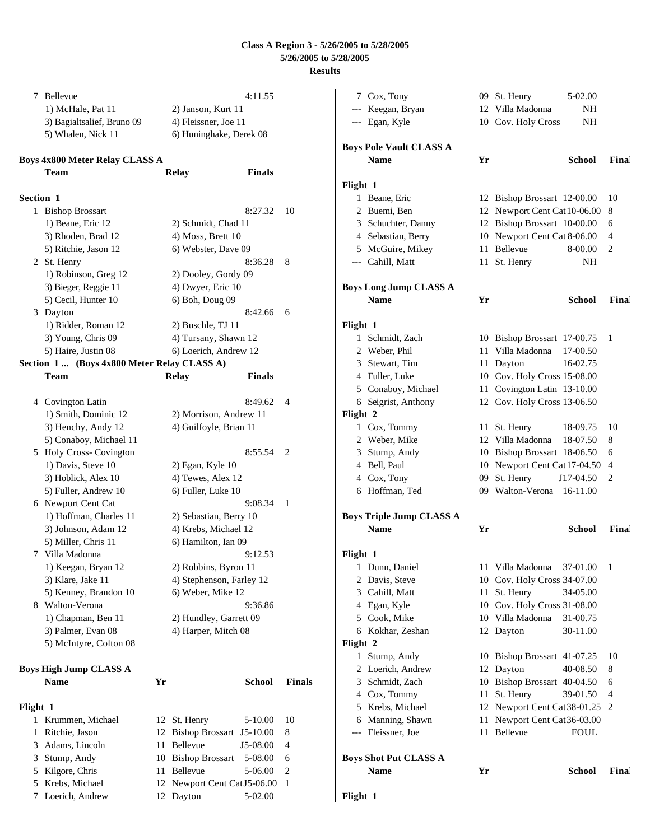**Flight 1**

| 7         | Bellevue                                    |    | 4:11.55                                  |               | 7                   |
|-----------|---------------------------------------------|----|------------------------------------------|---------------|---------------------|
|           | 1) McHale, Pat 11                           |    | 2) Janson, Kurt 11                       |               |                     |
|           | 3) Bagialtsalief, Bruno 09                  |    | 4) Fleissner, Joe 11                     |               |                     |
|           | 5) Whalen, Nick 11                          |    | 6) Huninghake, Derek 08                  |               |                     |
|           | Boys 4x800 Meter Relay CLASS A              |    |                                          |               | Boy:                |
|           | Team                                        |    | <b>Finals</b><br>Relay                   |               |                     |
|           |                                             |    |                                          |               | Flig                |
| Section 1 |                                             |    |                                          |               | $\mathbf l$         |
|           | 1 Bishop Brossart                           |    | 8:27.32                                  | 10            | $\overline{c}$      |
|           | 1) Beane, Eric 12<br>3) Rhoden, Brad 12     |    | 2) Schmidt, Chad 11<br>4) Moss, Brett 10 |               | 3                   |
|           | 5) Ritchie, Jason 12                        |    | 6) Webster, Dave 09                      |               |                     |
|           |                                             |    | 8:36.28                                  | 8             | 5                   |
|           | 2 St. Henry<br>1) Robinson, Greg 12         |    |                                          |               |                     |
|           | 3) Bieger, Reggie 11                        |    | 2) Dooley, Gordy 09<br>4) Dwyer, Eric 10 |               | <b>Boys</b>         |
|           | 5) Cecil, Hunter 10                         |    | 6) Boh, Doug 09                          |               |                     |
|           | 3 Dayton                                    |    | 8:42.66                                  | 6             |                     |
|           | 1) Ridder, Roman 12                         |    | 2) Buschle, TJ 11                        |               | Flig                |
|           | 3) Young, Chris 09                          |    | 4) Tursany, Shawn 12                     |               |                     |
|           | 5) Haire, Justin 08                         |    | 6) Loerich, Andrew 12                    |               | $\mathbf l$         |
|           | Section 1  (Boys 4x800 Meter Relay CLASS A) |    |                                          |               | $\overline{c}$<br>3 |
|           | Team                                        |    | <b>Relay</b><br>Finals                   |               |                     |
|           |                                             |    |                                          |               | 5                   |
|           | 4 Covington Latin                           |    | 8:49.62                                  | 4             | 6                   |
|           | 1) Smith, Dominic 12                        |    | 2) Morrison, Andrew 11                   |               | Flig                |
|           | 3) Henchy, Andy 12                          |    | 4) Guilfoyle, Brian 11                   |               | I                   |
|           | 5) Conaboy, Michael 11                      |    |                                          |               | $\overline{c}$      |
|           | 5 Holy Cross- Covington                     |    | 8:55.54                                  | 2             | 3                   |
|           | 1) Davis, Steve 10                          |    | 2) Egan, Kyle 10                         |               | 4                   |
|           | 3) Hoblick, Alex 10                         |    | 4) Tewes, Alex 12                        |               |                     |
|           | 5) Fuller, Andrew 10                        |    | 6) Fuller, Luke 10                       |               | б                   |
|           | 6 Newport Cent Cat                          |    | 9:08.34                                  | 1             |                     |
|           | 1) Hoffman, Charles 11                      |    | 2) Sebastian, Berry 10                   |               | <b>Boys</b>         |
|           | 3) Johnson, Adam 12                         |    | 4) Krebs, Michael 12                     |               |                     |
|           | 5) Miller, Chris 11                         |    | 6) Hamilton, Ian 09                      |               |                     |
|           | 7 Villa Madonna                             |    | 9:12.53                                  |               | Flig                |
|           | 1) Keegan, Bryan 12                         |    | 2) Robbins, Byron 11                     |               | I                   |
|           | 3) Klare, Jake 11                           |    | 4) Stephenson, Farley 12                 |               | $\overline{c}$      |
|           | 5) Kenney, Brandon 10                       |    | 6) Weber, Mike 12                        |               | $\mathbf{c}$        |
|           | 8 Walton-Verona                             |    | 9:36.86                                  |               | 4                   |
|           | 1) Chapman, Ben 11                          |    | 2) Hundley, Garrett 09                   |               | 5                   |
|           | 3) Palmer, Evan 08                          |    | 4) Harper, Mitch 08                      |               | $\epsilon$          |
|           | 5) McIntyre, Colton 08                      |    |                                          |               | Flig                |
|           |                                             |    |                                          |               | 1                   |
|           | <b>Boys High Jump CLASS A</b>               |    |                                          |               | $\overline{c}$      |
|           | Name                                        | Yr | <b>School</b>                            | <b>Finals</b> | $\mathbf{c}$        |
|           |                                             |    |                                          |               | 4                   |
| Flight 1  |                                             |    |                                          |               | 5                   |
|           | 1 Krummen, Michael                          |    | 12 St. Henry<br>$5-10.00$                | 10            | 6                   |
| 1         | Ritchie, Jason                              | 12 | Bishop Brossart J5-10.00                 | 8             |                     |
| 3         | Adams, Lincoln                              |    | 11 Bellevue<br>J5-08.00                  | 4             |                     |
| 3         | Stump, Andy                                 |    | 10 Bishop Brossart<br>5-08.00            | 6             | Boy:                |
| 5         | Kilgore, Chris                              |    | 11 Bellevue<br>5-06.00                   | 2             |                     |
| 5         | Krebs, Michael                              |    | 12 Newport Cent CatJ5-06.00              | 1             |                     |

7 Loerich, Andrew 12 Dayton 5-02.00

| 7        | Cox, Tony                       |    | 09 St. Henry                 | 5-02.00       |       |
|----------|---------------------------------|----|------------------------------|---------------|-------|
| $---$    | Keegan, Bryan                   |    | 12 Villa Madonna             | NH            |       |
|          | --- Egan, Kyle                  |    | 10 Cov. Holy Cross           | NH            |       |
|          | <b>Boys Pole Vault CLASS A</b>  |    |                              |               |       |
|          | <b>Name</b>                     | Yr |                              | <b>School</b> | Final |
| Flight 1 |                                 |    |                              |               |       |
| 1        | Beane, Eric                     |    | 12 Bishop Brossart 12-00.00  |               | 10    |
| 2        | Buemi, Ben                      |    | 12 Newport Cent Cat 10-06.00 |               | 8     |
|          | 3 Schuchter, Danny              |    | 12 Bishop Brossart 10-00.00  |               | 6     |
|          | 4 Sebastian, Berry              |    | 10 Newport Cent Cat 8-06.00  |               | 4     |
|          | 5 McGuire, Mikey                | 11 | <b>Bellevue</b>              | 8-00.00       | 2     |
|          | --- Cahill, Matt                | 11 | St. Henry                    | NΗ            |       |
|          | <b>Boys Long Jump CLASS A</b>   |    |                              |               |       |
|          | <b>Name</b>                     | Yr |                              | <b>School</b> | Final |
| Flight 1 |                                 |    |                              |               |       |
| 1        | Schmidt, Zach                   |    | 10 Bishop Brossart 17-00.75  |               | 1     |
|          | 2 Weber, Phil                   | 11 | Villa Madonna                | 17-00.50      |       |
|          | 3 Stewart, Tim                  | 11 | Dayton                       | 16-02.75      |       |
|          | 4 Fuller, Luke                  |    | 10 Cov. Holy Cross 15-08.00  |               |       |
|          | 5 Conaboy, Michael              | 11 | Covington Latin 13-10.00     |               |       |
| 6        | Seigrist, Anthony               |    | 12 Cov. Holy Cross 13-06.50  |               |       |
| Flight 2 |                                 |    |                              |               |       |
|          | 1 Cox, Tommy                    | 11 | St. Henry                    | 18-09.75      | 10    |
|          | 2 Weber, Mike                   |    | 12 Villa Madonna             | 18-07.50      | 8     |
|          | 3 Stump, Andy                   |    | 10 Bishop Brossart 18-06.50  |               | 6     |
|          | 4 Bell, Paul                    | 10 | Newport Cent Cat 17-04.50    |               | 4     |
| 4        | Cox, Tony                       | 09 | St. Henry                    | J17-04.50     | 2     |
|          | 6 Hoffman, Ted                  |    | 09 Walton-Verona             | 16-11.00      |       |
|          | <b>Boys Triple Jump CLASS A</b> |    |                              |               |       |
|          | <b>Name</b>                     | Yr |                              | <b>School</b> | Final |
| Flight 1 |                                 |    |                              |               |       |
| 1        | Dunn, Daniel                    | 11 | Villa Madonna                | 37-01.00      | 1     |
| 2        | Davis, Steve                    | 10 | Cov. Holy Cross 34-07.00     |               |       |
| 3        | Cahill, Matt                    | 11 | St. Henry                    | 34-05.00      |       |
| 4        | Egan, Kyle                      |    | 10 Cov. Holy Cross 31-08.00  |               |       |
| 5        | Cook, Mike                      |    | 10 Villa Madonna             | 31-00.75      |       |
| 6        | Kokhar, Zeshan                  | 12 | Dayton                       | 30-11.00      |       |
| Flight 2 |                                 |    |                              |               |       |
| 1        | Stump, Andy                     | 10 | Bishop Brossart 41-07.25     |               | 10    |
| 2        | Loerich, Andrew                 | 12 | Dayton                       | 40-08.50      | 8     |
| 3        | Schmidt, Zach                   | 10 | Bishop Brossart 40-04.50     |               | 6     |
| 4        | Cox, Tommy                      | 11 | St. Henry                    | 39-01.50      | 4     |
| 5        | Krebs, Michael                  | 12 | Newport Cent Cat38-01.25     |               | 2     |
| 6        | Manning, Shawn                  | 11 | Newport Cent Cat 36-03.00    |               |       |
| $---$    | Fleissner, Joe                  | 11 | Bellevue                     | FOUL          |       |
|          | <b>Boys Shot Put CLASS A</b>    |    |                              |               |       |
|          | Name                            | Yr |                              | <b>School</b> | Final |